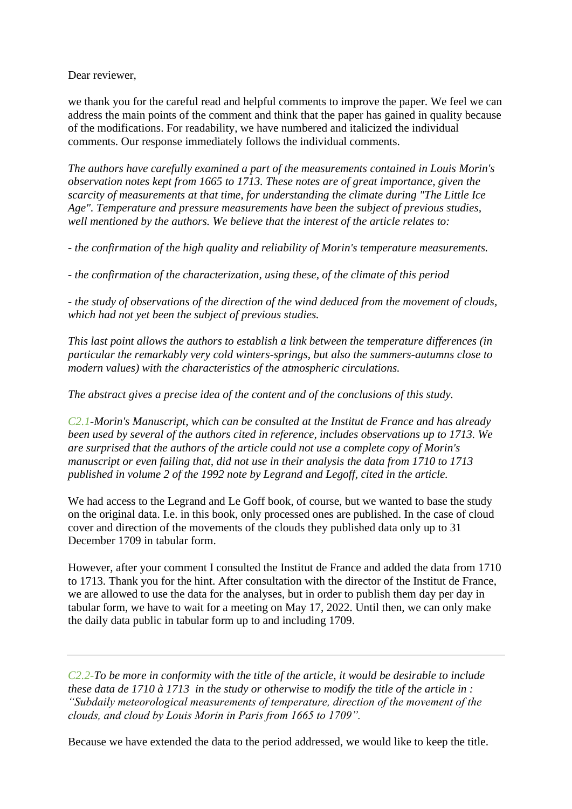Dear reviewer,

we thank you for the careful read and helpful comments to improve the paper. We feel we can address the main points of the comment and think that the paper has gained in quality because of the modifications. For readability, we have numbered and italicized the individual comments. Our response immediately follows the individual comments.

*The authors have carefully examined a part of the measurements contained in Louis Morin's observation notes kept from 1665 to 1713. These notes are of great importance, given the scarcity of measurements at that time, for understanding the climate during "The Little Ice Age". Temperature and pressure measurements have been the subject of previous studies, well mentioned by the authors. We believe that the interest of the article relates to:*

*- the confirmation of the high quality and reliability of Morin's temperature measurements.*

*- the confirmation of the characterization, using these, of the climate of this period*

*- the study of observations of the direction of the wind deduced from the movement of clouds, which had not yet been the subject of previous studies.*

*This last point allows the authors to establish a link between the temperature differences (in particular the remarkably very cold winters-springs, but also the summers-autumns close to modern values) with the characteristics of the atmospheric circulations.*

*The abstract gives a precise idea of the content and of the conclusions of this study.*

*C2.1-Morin's Manuscript, which can be consulted at the Institut de France and has already been used by several of the authors cited in reference, includes observations up to 1713. We are surprised that the authors of the article could not use a complete copy of Morin's manuscript or even failing that, did not use in their analysis the data from 1710 to 1713 published in volume 2 of the 1992 note by Legrand and Legoff, cited in the article.*

We had access to the Legrand and Le Goff book, of course, but we wanted to base the study on the original data. I.e. in this book, only processed ones are published. In the case of cloud cover and direction of the movements of the clouds they published data only up to 31 December 1709 in tabular form.

However, after your comment I consulted the Institut de France and added the data from 1710 to 1713. Thank you for the hint. After consultation with the director of the Institut de France, we are allowed to use the data for the analyses, but in order to publish them day per day in tabular form, we have to wait for a meeting on May 17, 2022. Until then, we can only make the daily data public in tabular form up to and including 1709.

*C2.2-To be more in conformity with the title of the article, it would be desirable to include these data de 1710 à 1713 in the study or otherwise to modify the title of the article in : "Subdaily meteorological measurements of temperature, direction of the movement of the clouds, and cloud by Louis Morin in Paris from 1665 to 1709".*

Because we have extended the data to the period addressed, we would like to keep the title.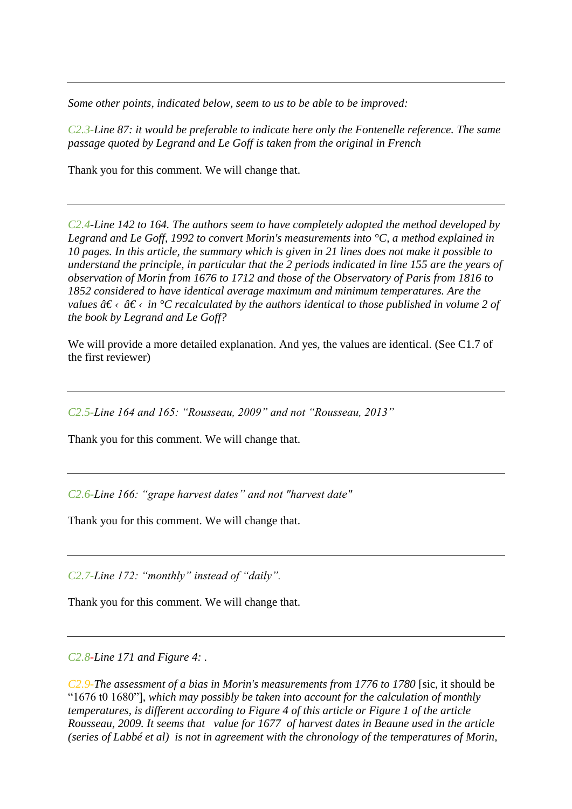*Some other points, indicated below, seem to us to be able to be improved:*

*C2.3-Line 87: it would be preferable to indicate here only the Fontenelle reference. The same passage quoted by Legrand and Le Goff is taken from the original in French*

Thank you for this comment. We will change that.

*C2.4-Line 142 to 164. The authors seem to have completely adopted the method developed by Legrand and Le Goff, 1992 to convert Morin's measurements into °C, a method explained in 10 pages. In this article, the summary which is given in 21 lines does not make it possible to understand the principle, in particular that the 2 periods indicated in line 155 are the years of observation of Morin from 1676 to 1712 and those of the Observatory of Paris from 1816 to 1852 considered to have identical average maximum and minimum temperatures. Are the values*  $\hat{a}\epsilon \leftarrow \hat{a}\epsilon \leftarrow \hat{i}\epsilon \leftarrow \hat{c}C$  *recalculated by the authors identical to those published in volume 2 of the book by Legrand and Le Goff?*

We will provide a more detailed explanation. And yes, the values are identical. (See C1.7 of the first reviewer)

*C2.5-Line 164 and 165: "Rousseau, 2009" and not "Rousseau, 2013"*

Thank you for this comment. We will change that.

*C2.6-Line 166: "grape harvest dates" and not "harvest date"*

Thank you for this comment. We will change that.

*C2.7-Line 172: "monthly" instead of "daily".*

Thank you for this comment. We will change that.

*C2.8-Line 171 and Figure 4: .*

*C2.9-The assessment of a bias in Morin's measurements from 1776 to 1780* [sic, it should be "1676 t0 1680"]*, which may possibly be taken into account for the calculation of monthly temperatures, is different according to Figure 4 of this article or Figure 1 of the article Rousseau, 2009. It seems that value for 1677 of harvest dates in Beaune used in the article (series of Labbé et al) is not in agreement with the chronology of the temperatures of Morin,*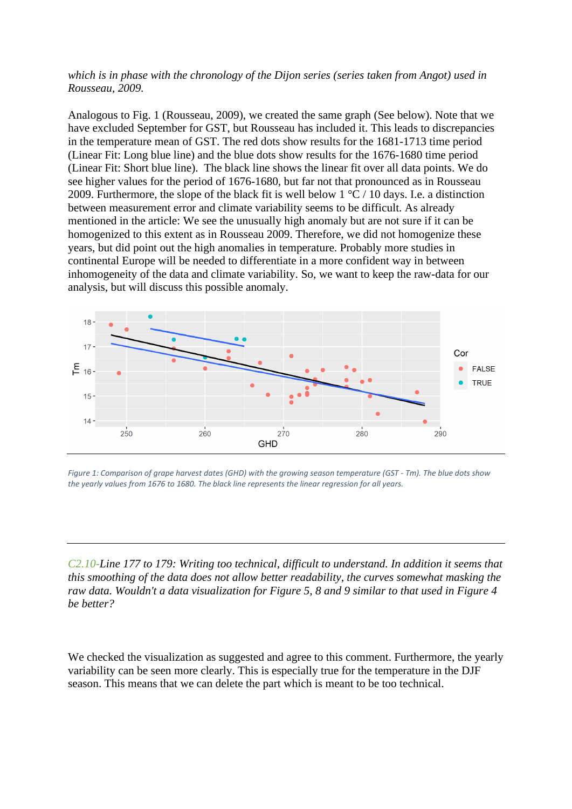## *which is in phase with the chronology of the Dijon series (series taken from Angot) used in Rousseau, 2009.*

Analogous to Fig. 1 (Rousseau, 2009), we created the same graph (See below). Note that we have excluded September for GST, but Rousseau has included it. This leads to discrepancies in the temperature mean of GST. The red dots show results for the 1681-1713 time period (Linear Fit: Long blue line) and the blue dots show results for the 1676-1680 time period (Linear Fit: Short blue line). The black line shows the linear fit over all data points. We do see higher values for the period of 1676-1680, but far not that pronounced as in Rousseau 2009. Furthermore, the slope of the black fit is well below  $1 \degree C$  / 10 days. I.e. a distinction between measurement error and climate variability seems to be difficult. As already mentioned in the article: We see the unusually high anomaly but are not sure if it can be homogenized to this extent as in Rousseau 2009. Therefore, we did not homogenize these years, but did point out the high anomalies in temperature. Probably more studies in continental Europe will be needed to differentiate in a more confident way in between inhomogeneity of the data and climate variability. So, we want to keep the raw-data for our analysis, but will discuss this possible anomaly.



*Figure 1: Comparison of grape harvest dates (GHD) with the growing season temperature (GST - Tm). The blue dots show the yearly values from 1676 to 1680. The black line represents the linear regression for all years.*

*C2.10-Line 177 to 179: Writing too technical, difficult to understand. In addition it seems that this smoothing of the data does not allow better readability, the curves somewhat masking the raw data. Wouldn't a data visualization for Figure 5, 8 and 9 similar to that used in Figure 4 be better?*

We checked the visualization as suggested and agree to this comment. Furthermore, the yearly variability can be seen more clearly. This is especially true for the temperature in the DJF season. This means that we can delete the part which is meant to be too technical.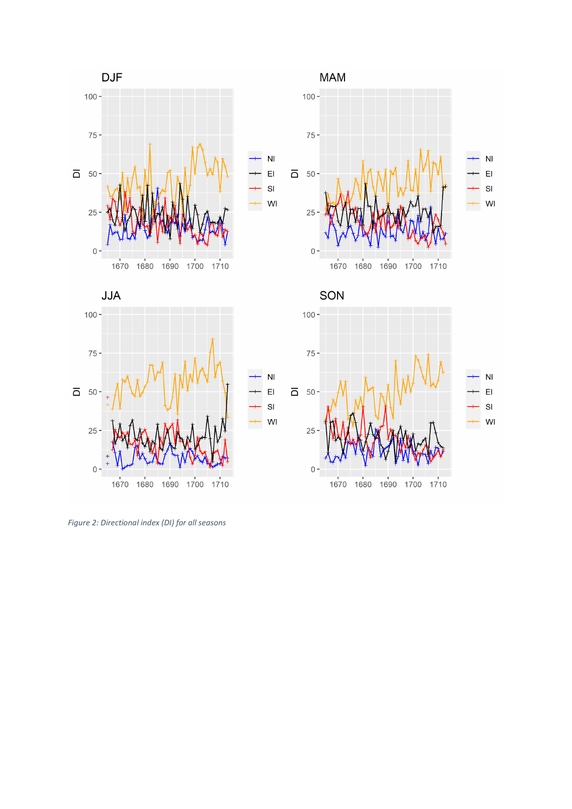



**MAM**  $100 75 \overline{\mathsf{N}}$  $\overline{\mathsf{N}}$  $E1$  $\overline{0}$  50 - $E1$  $\overline{\mathsf{SI}}$  $\overline{\mathsf{SI}}$ WI WI 25  $0 -$ 1670 1680 1690 1700 1710



*Figure 2: Directional index (DI) for all seasons*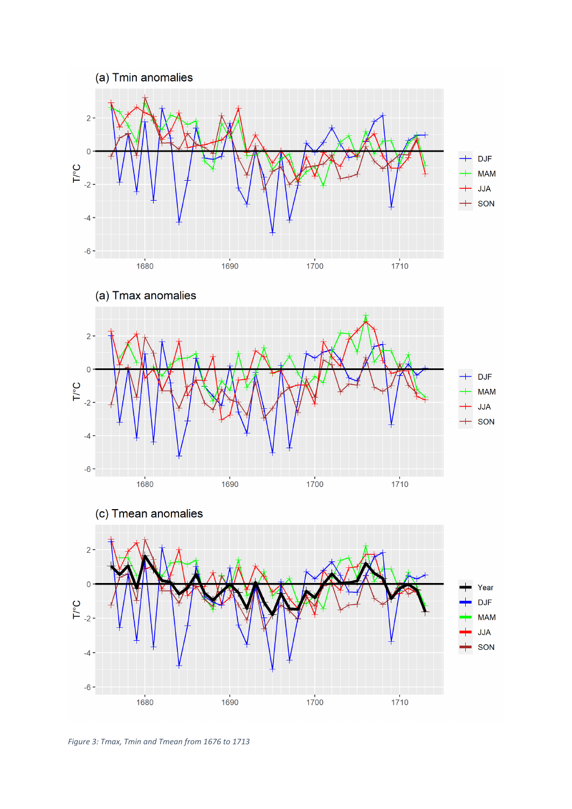







*Figure 3: Tmax, Tmin and Tmean from 1676 to 1713*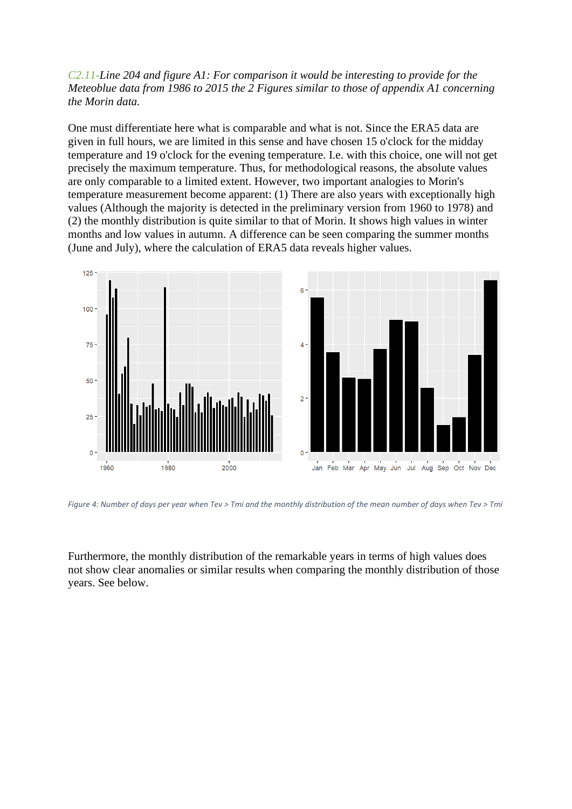## *C2.11-Line 204 and figure A1: For comparison it would be interesting to provide for the Meteoblue data from 1986 to 2015 the 2 Figures similar to those of appendix A1 concerning the Morin data.*

One must differentiate here what is comparable and what is not. Since the ERA5 data are given in full hours, we are limited in this sense and have chosen 15 o'clock for the midday temperature and 19 o'clock for the evening temperature. I.e. with this choice, one will not get precisely the maximum temperature. Thus, for methodological reasons, the absolute values are only comparable to a limited extent. However, two important analogies to Morin's temperature measurement become apparent: (1) There are also years with exceptionally high values (Although the majority is detected in the preliminary version from 1960 to 1978) and (2) the monthly distribution is quite similar to that of Morin. It shows high values in winter months and low values in autumn. A difference can be seen comparing the summer months (June and July), where the calculation of ERA5 data reveals higher values.



*Figure 4: Number of days per year when Tev > Tmi and the monthly distribution of the mean number of days when Tev > Tmi*

Furthermore, the monthly distribution of the remarkable years in terms of high values does not show clear anomalies or similar results when comparing the monthly distribution of those years. See below.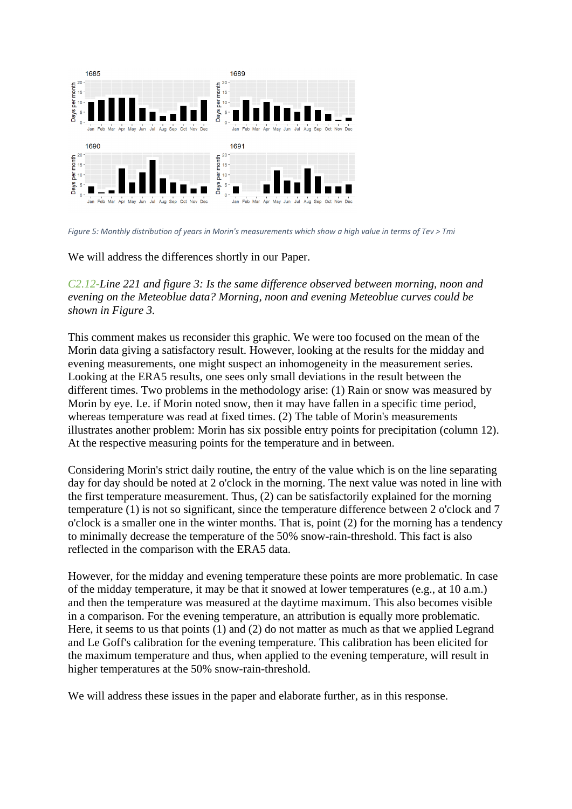

*Figure 5: Monthly distribution of years in Morin's measurements which show a high value in terms of Tev > Tmi*

We will address the differences shortly in our Paper.

*C2.12-Line 221 and figure 3: Is the same difference observed between morning, noon and evening on the Meteoblue data? Morning, noon and evening Meteoblue curves could be shown in Figure 3.*

This comment makes us reconsider this graphic. We were too focused on the mean of the Morin data giving a satisfactory result. However, looking at the results for the midday and evening measurements, one might suspect an inhomogeneity in the measurement series. Looking at the ERA5 results, one sees only small deviations in the result between the different times. Two problems in the methodology arise: (1) Rain or snow was measured by Morin by eye. I.e. if Morin noted snow, then it may have fallen in a specific time period, whereas temperature was read at fixed times. (2) The table of Morin's measurements illustrates another problem: Morin has six possible entry points for precipitation (column 12). At the respective measuring points for the temperature and in between.

Considering Morin's strict daily routine, the entry of the value which is on the line separating day for day should be noted at 2 o'clock in the morning. The next value was noted in line with the first temperature measurement. Thus, (2) can be satisfactorily explained for the morning temperature (1) is not so significant, since the temperature difference between 2 o'clock and 7 o'clock is a smaller one in the winter months. That is, point (2) for the morning has a tendency to minimally decrease the temperature of the 50% snow-rain-threshold. This fact is also reflected in the comparison with the ERA5 data.

However, for the midday and evening temperature these points are more problematic. In case of the midday temperature, it may be that it snowed at lower temperatures (e.g., at 10 a.m.) and then the temperature was measured at the daytime maximum. This also becomes visible in a comparison. For the evening temperature, an attribution is equally more problematic. Here, it seems to us that points (1) and (2) do not matter as much as that we applied Legrand and Le Goff's calibration for the evening temperature. This calibration has been elicited for the maximum temperature and thus, when applied to the evening temperature, will result in higher temperatures at the 50% snow-rain-threshold.

We will address these issues in the paper and elaborate further, as in this response.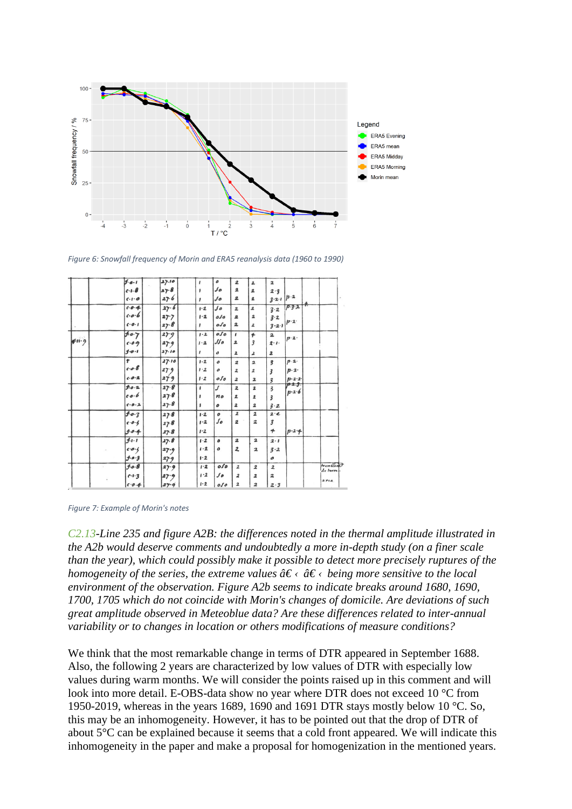

*Figure 6: Snowfall frequency of Morin and ERA5 reanalysis data (1960 to 1990)*

|        | J.0.1               | 27.10    | ,                             | ٥                          | $\overline{\mathbf{2}}$ | 2                                                         | $\mathbf{2}% =\mathbf{1}_{B}\left( \mathbf{1}_{B}\right) ^{\ast}\mathbf{1}_{B}$ |             |                       |
|--------|---------------------|----------|-------------------------------|----------------------------|-------------------------|-----------------------------------------------------------|---------------------------------------------------------------------------------|-------------|-----------------------|
|        | $c - 1 - 8$         | 27.8     | ,                             | $\mathcal{S}$              | $\overline{\mathbf{2}}$ | $\overline{\mathbf{z}}$                                   | 2.3                                                                             |             |                       |
|        | $C - 1 - 0$         | 27.6     | 1                             | Jo                         | $\mathbf{z}$            | $\mathbf{z}$                                              | $3 - 2 - 1$                                                                     | $p-2$       |                       |
|        | 0.04                | 27.6     | $1 - 2$                       | $\int d\theta$             | $\overline{\mathbf{z}}$ | $\pmb{2}$                                                 | 3.2                                                                             | $P - 3 - 2$ |                       |
|        | $0.0 - 6$           | 27.7     | $1 - 2$                       | 0.10                       | 2                       | $\overline{\mathbf{2}}$                                   | $3 - 2$                                                                         |             |                       |
|        | $C - 0 - 1$         | $27 - 8$ |                               | $_{\textit{o}}$            | 2                       | 2                                                         | $3 - 2 - 1$                                                                     | $p - 2$     |                       |
| 4.11.9 | 50.7                | 27.9     | 1.2                           | 0.50                       | $\mathbf{I}$            | 4                                                         | $\overline{\mathbf{2}}$                                                         | $p-2$       |                       |
|        | $0.0 - 9$           | 27.9     | 1.2                           | $\mathcal{L}\mathcal{L}$ o | $\overline{\mathbf{z}}$ | $\overline{\mathbf{3}}$                                   | $2 - 1 -$                                                                       |             |                       |
|        | $1 - 0 - 1$         | 27.10    | ,                             | $\mathcal O$               | $\overline{\mathbf{z}}$ | 2                                                         | $\overline{\mathbf{z}}$                                                         |             |                       |
|        | t                   | 27.16    | $1 - 2$                       | $\mathfrak{o}$             | $\boldsymbol{2}$        | $\overline{\mathbf{2}}$                                   | $\overline{\mathbf{3}}$                                                         | p.2         |                       |
|        | 0.0.8               | 279      | $1 - 2$                       | о                          | $\overline{\mathbf{2}}$ | 2                                                         | 3                                                                               | $p-2$       |                       |
|        | $C - D - 2$         | 27.9     | 1.2                           | $_{\textit{o}fo}$          | $\overline{\mathbf{2}}$ | $\mathbf{z}$                                              | $\overline{\mathbf{3}}$                                                         | $p - 2 - 2$ |                       |
|        | f.0.2               | 27.8     | ,                             | J                          | $\mathbf{z}$            | $\mathbf{z}$                                              | $\overline{\mathbf{3}}$                                                         | p.2.3.      |                       |
|        | 8.0.6               | $27 - 8$ |                               | no                         | $\pmb{2}$               | $\pmb{2}$                                                 | $\overline{\mathbf{3}}$                                                         | $p - 2 - 6$ |                       |
|        | C.0.2               | 27.8     | 1                             | ٥                          | $\overline{\mathbf{z}}$ | $\mathbf{2}% =\mathbf{1}_{B}\left( \mathbf{1}_{B}\right)$ | $3 - 2$                                                                         |             |                       |
|        | $f \cdot o \cdot 3$ | 27.8     | $1 - 2$                       | $\pmb{o}$                  | $\mathbf{z}$            | $\overline{\mathbf{2}}$                                   | $2 - e$                                                                         |             |                       |
|        | $0.0 - 5$           | 27.8     | $1 - 2$                       | $\int_{\mathcal{O}}$       | $\overline{\mathbf{z}}$ | $\overline{\mathbf{z}}$                                   | $\overline{\mathbf{3}}$                                                         |             |                       |
|        | 5.0.4               | 27.8     | 1.2                           |                            |                         |                                                           | $\boldsymbol{+}$                                                                | $p - 2 - 4$ |                       |
|        | $f - 1 - 1$         | 27.8     | $1-2$                         | ٥                          | $\mathbf{z}$            | $\mathbf{2}$                                              | 2.1                                                                             |             |                       |
|        | 0.0.6               | 27.9     | 1.2                           | ٥                          | $\overline{\mathbf{2}}$ | $\mathbf{z}$                                              | $3 - 2$                                                                         |             |                       |
|        | f.0.3               | 27.9     | 1.2                           |                            |                         |                                                           | $\cal O$                                                                        |             |                       |
|        | $f \circ g$         | 27.9     | $1 - 2$                       | $\overline{o}$             | $\overline{\mathbf{z}}$ | $\boldsymbol{z}$                                          | $\overline{\mathbf{z}}$                                                         |             | trembles?<br>de terre |
|        | $0.1 - 3$           | 127.9    | 1.2                           | $\mathcal{L}$              | $\overline{\mathbf{z}}$ | $\overline{\mathbf{z}}$                                   | $\overline{\mathbf{z}}$                                                         |             |                       |
|        | 0.4                 | 27.9     | $\mathbf{I} \cdot \mathbf{2}$ | 050                        | $\overline{\mathbf{z}}$ | $\overline{\mathbf{z}}$                                   | 2.3                                                                             |             | area                  |

#### *Figure 7: Example of Morin's notes*

*C2.13-Line 235 and figure A2B: the differences noted in the thermal amplitude illustrated in the A2b would deserve comments and undoubtedly a more in-depth study (on a finer scale than the year), which could possibly make it possible to detect more precisely ruptures of the homogeneity of the series, the extreme values*  $\hat{a} \in \langle \hat{a} \rangle$  *being more sensitive to the local environment of the observation. Figure A2b seems to indicate breaks around 1680, 1690, 1700, 1705 which do not coincide with Morin's changes of domicile. Are deviations of such great amplitude observed in Meteoblue data? Are these differences related to inter-annual variability or to changes in location or others modifications of measure conditions?*

We think that the most remarkable change in terms of DTR appeared in September 1688. Also, the following 2 years are characterized by low values of DTR with especially low values during warm months. We will consider the points raised up in this comment and will look into more detail. E-OBS-data show no year where DTR does not exceed 10 °C from 1950-2019, whereas in the years 1689, 1690 and 1691 DTR stays mostly below 10 °C. So, this may be an inhomogeneity. However, it has to be pointed out that the drop of DTR of about 5°C can be explained because it seems that a cold front appeared. We will indicate this inhomogeneity in the paper and make a proposal for homogenization in the mentioned years.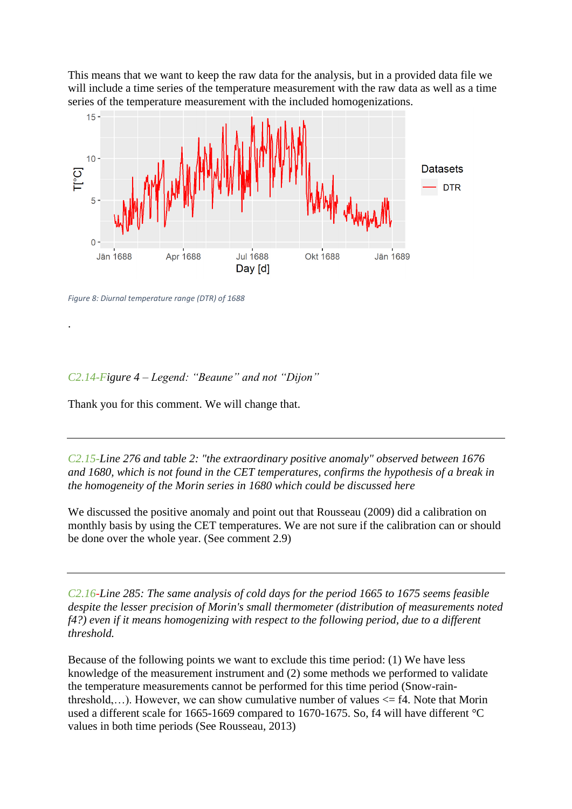This means that we want to keep the raw data for the analysis, but in a provided data file we will include a time series of the temperature measurement with the raw data as well as a time series of the temperature measurement with the included homogenizations.



*Figure 8: Diurnal temperature range (DTR) of 1688*

.

# *C2.14-Figure 4 – Legend: "Beaune" and not "Dijon"*

Thank you for this comment. We will change that.

*C2.15-Line 276 and table 2: "the extraordinary positive anomaly" observed between 1676 and 1680, which is not found in the CET temperatures, confirms the hypothesis of a break in the homogeneity of the Morin series in 1680 which could be discussed here*

We discussed the positive anomaly and point out that Rousseau (2009) did a calibration on monthly basis by using the CET temperatures. We are not sure if the calibration can or should be done over the whole year. (See comment 2.9)

*C2.16-Line 285: The same analysis of cold days for the period 1665 to 1675 seems feasible despite the lesser precision of Morin's small thermometer (distribution of measurements noted f4?) even if it means homogenizing with respect to the following period, due to a different threshold.*

Because of the following points we want to exclude this time period: (1) We have less knowledge of the measurement instrument and (2) some methods we performed to validate the temperature measurements cannot be performed for this time period (Snow-rainthreshold,...). However, we can show cumulative number of values  $\leq$  f4. Note that Morin used a different scale for 1665-1669 compared to 1670-1675. So, f4 will have different °C values in both time periods (See Rousseau, 2013)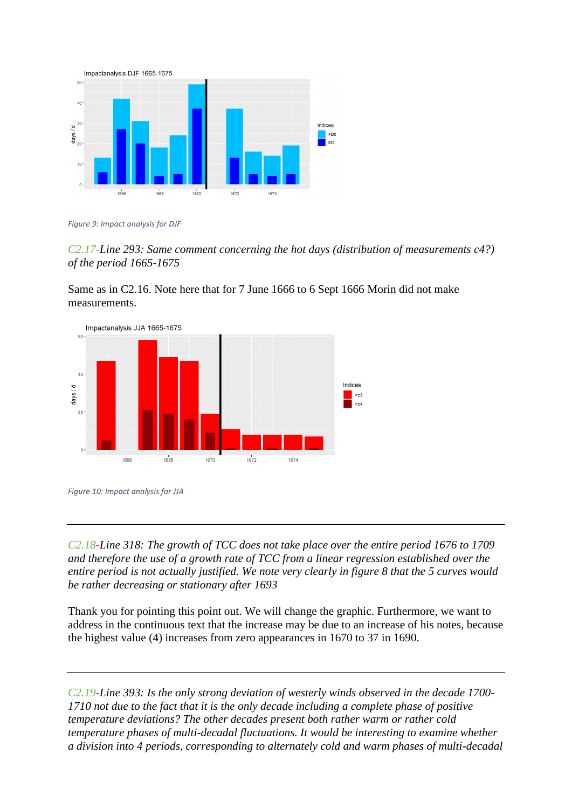

*Figure 9: Impact analysis for DJF*

*C2.17-Line 293: Same comment concerning the hot days (distribution of measurements c4?) of the period 1665-1675*

Same as in C2.16. Note here that for 7 June 1666 to 6 Sept 1666 Morin did not make measurements.



*Figure 10: Impact analysis for JJA*

*C2.18-Line 318: The growth of TCC does not take place over the entire period 1676 to 1709 and therefore the use of a growth rate of TCC from a linear regression established over the entire period is not actually justified. We note very clearly in figure 8 that the 5 curves would be rather decreasing or stationary after 1693*

Thank you for pointing this point out. We will change the graphic. Furthermore, we want to address in the continuous text that the increase may be due to an increase of his notes, because the highest value (4) increases from zero appearances in 1670 to 37 in 1690.

*C2.19-Line 393: Is the only strong deviation of westerly winds observed in the decade 1700- 1710 not due to the fact that it is the only decade including a complete phase of positive temperature deviations? The other decades present both rather warm or rather cold temperature phases of multi-decadal fluctuations. It would be interesting to examine whether a division into 4 periods, corresponding to alternately cold and warm phases of multi-decadal*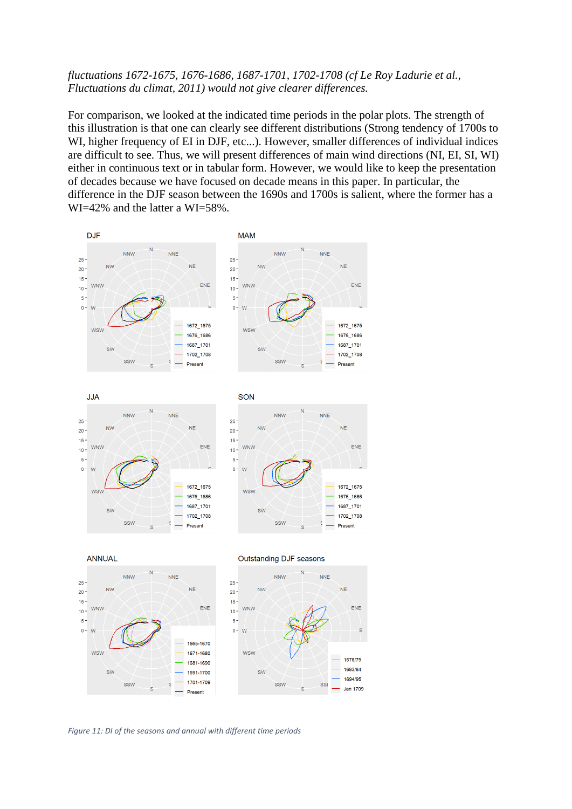## *fluctuations 1672-1675, 1676-1686, 1687-1701, 1702-1708 (cf Le Roy Ladurie et al., Fluctuations du climat, 2011) would not give clearer differences.*

For comparison, we looked at the indicated time periods in the polar plots. The strength of this illustration is that one can clearly see different distributions (Strong tendency of 1700s to WI, higher frequency of EI in DJF, etc...). However, smaller differences of individual indices are difficult to see. Thus, we will present differences of main wind directions (NI, EI, SI, WI) either in continuous text or in tabular form. However, we would like to keep the presentation of decades because we have focused on decade means in this paper. In particular, the difference in the DJF season between the 1690s and 1700s is salient, where the former has a WI=42% and the latter a WI=58%.

**Jan 1709** 



*Figure 11: DI of the seasons and annual with different time periods*

Present

S